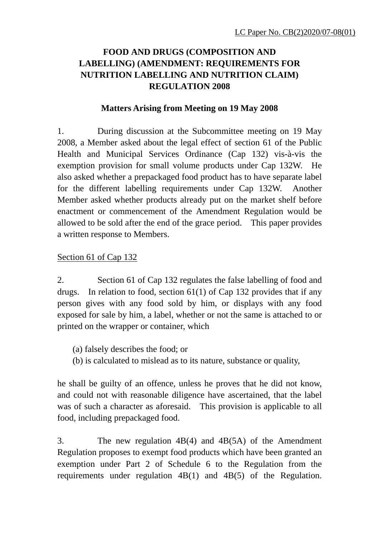# **FOOD AND DRUGS (COMPOSITION AND LABELLING) (AMENDMENT: REQUIREMENTS FOR NUTRITION LABELLING AND NUTRITION CLAIM) REGULATION 2008**

#### **Matters Arising from Meeting on 19 May 2008**

1. During discussion at the Subcommittee meeting on 19 May 2008, a Member asked about the legal effect of section 61 of the Public Health and Municipal Services Ordinance (Cap 132) vis-à-vis the exemption provision for small volume products under Cap 132W. He also asked whether a prepackaged food product has to have separate label for the different labelling requirements under Cap 132W. Another Member asked whether products already put on the market shelf before enactment or commencement of the Amendment Regulation would be allowed to be sold after the end of the grace period. This paper provides a written response to Members.

#### Section 61 of Cap 132

2. Section 61 of Cap 132 regulates the false labelling of food and drugs. In relation to food, section 61(1) of Cap 132 provides that if any person gives with any food sold by him, or displays with any food exposed for sale by him, a label, whether or not the same is attached to or printed on the wrapper or container, which

(a) falsely describes the food; or

(b) is calculated to mislead as to its nature, substance or quality,

he shall be guilty of an offence, unless he proves that he did not know, and could not with reasonable diligence have ascertained, that the label was of such a character as aforesaid. This provision is applicable to all food, including prepackaged food.

3. The new regulation 4B(4) and 4B(5A) of the Amendment Regulation proposes to exempt food products which have been granted an exemption under Part 2 of Schedule 6 to the Regulation from the requirements under regulation 4B(1) and 4B(5) of the Regulation.